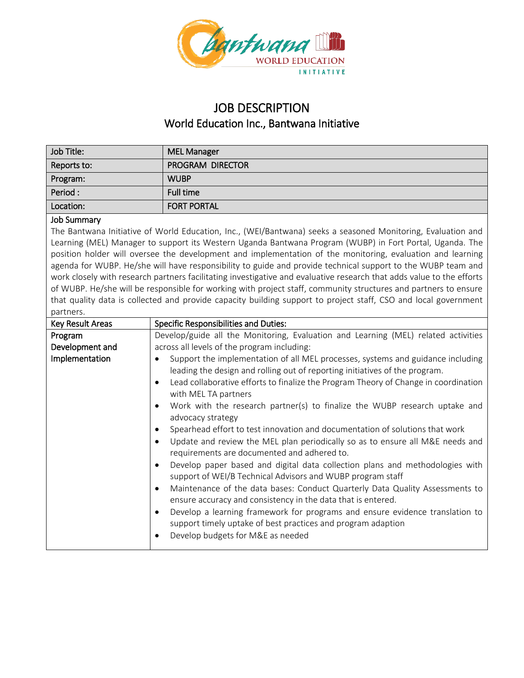

## JOB DESCRIPTION World Education Inc., Bantwana Initiative

| Job Title:  | <b>MEL Manager</b> |
|-------------|--------------------|
| Reports to: | PROGRAM DIRECTOR   |
| Program:    | <b>WUBP</b>        |
| Period:     | Full time          |
| Location:   | <b>FORT PORTAL</b> |

## Job Summary

The Bantwana Initiative of World Education, Inc., (WEI/Bantwana) seeks a seasoned Monitoring, Evaluation and Learning (MEL) Manager to support its Western Uganda Bantwana Program (WUBP) in Fort Portal, Uganda. The position holder will oversee the development and implementation of the monitoring, evaluation and learning agenda for WUBP. He/she will have responsibility to guide and provide technical support to the WUBP team and work closely with research partners facilitating investigative and evaluative research that adds value to the efforts of WUBP. He/she will be responsible for working with project staff, community structures and partners to ensure that quality data is collected and provide capacity building support to project staff, CSO and local government partners.

| Key Result Areas | <b>Specific Responsibilities and Duties:</b>                                                                                                                                                                                                                                                                                                                                                                                                                                                                                                                                                                                                                                                                                                                                                                                                                                                                                                                                                                                                                                                                                                                      |
|------------------|-------------------------------------------------------------------------------------------------------------------------------------------------------------------------------------------------------------------------------------------------------------------------------------------------------------------------------------------------------------------------------------------------------------------------------------------------------------------------------------------------------------------------------------------------------------------------------------------------------------------------------------------------------------------------------------------------------------------------------------------------------------------------------------------------------------------------------------------------------------------------------------------------------------------------------------------------------------------------------------------------------------------------------------------------------------------------------------------------------------------------------------------------------------------|
| Program          | Develop/guide all the Monitoring, Evaluation and Learning (MEL) related activities                                                                                                                                                                                                                                                                                                                                                                                                                                                                                                                                                                                                                                                                                                                                                                                                                                                                                                                                                                                                                                                                                |
| Development and  | across all levels of the program including:                                                                                                                                                                                                                                                                                                                                                                                                                                                                                                                                                                                                                                                                                                                                                                                                                                                                                                                                                                                                                                                                                                                       |
| Implementation   | Support the implementation of all MEL processes, systems and guidance including<br>leading the design and rolling out of reporting initiatives of the program.<br>Lead collaborative efforts to finalize the Program Theory of Change in coordination<br>$\bullet$<br>with MEL TA partners<br>Work with the research partner(s) to finalize the WUBP research uptake and<br>$\bullet$<br>advocacy strategy<br>Spearhead effort to test innovation and documentation of solutions that work<br>Update and review the MEL plan periodically so as to ensure all M&E needs and<br>$\bullet$<br>requirements are documented and adhered to.<br>Develop paper based and digital data collection plans and methodologies with<br>$\bullet$<br>support of WEI/B Technical Advisors and WUBP program staff<br>Maintenance of the data bases: Conduct Quarterly Data Quality Assessments to<br>$\bullet$<br>ensure accuracy and consistency in the data that is entered.<br>Develop a learning framework for programs and ensure evidence translation to<br>support timely uptake of best practices and program adaption<br>Develop budgets for M&E as needed<br>$\bullet$ |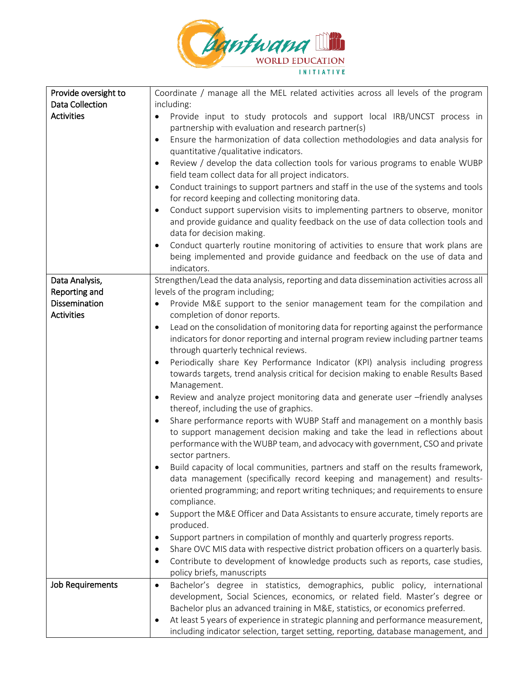

| Provide oversight to   | Coordinate / manage all the MEL related activities across all levels of the program              |
|------------------------|--------------------------------------------------------------------------------------------------|
| <b>Data Collection</b> | including:                                                                                       |
| <b>Activities</b>      | Provide input to study protocols and support local IRB/UNCST process in<br>٠                     |
|                        | partnership with evaluation and research partner(s)                                              |
|                        | Ensure the harmonization of data collection methodologies and data analysis for<br>$\bullet$     |
|                        | quantitative /qualitative indicators.                                                            |
|                        | Review / develop the data collection tools for various programs to enable WUBP                   |
|                        | field team collect data for all project indicators.                                              |
|                        | Conduct trainings to support partners and staff in the use of the systems and tools<br>$\bullet$ |
|                        | for record keeping and collecting monitoring data.                                               |
|                        | Conduct support supervision visits to implementing partners to observe, monitor                  |
|                        | and provide guidance and quality feedback on the use of data collection tools and                |
|                        | data for decision making.                                                                        |
|                        | Conduct quarterly routine monitoring of activities to ensure that work plans are                 |
|                        | being implemented and provide guidance and feedback on the use of data and                       |
|                        | indicators.                                                                                      |
| Data Analysis,         | Strengthen/Lead the data analysis, reporting and data dissemination activities across all        |
| Reporting and          | levels of the program including;                                                                 |
| Dissemination          | Provide M&E support to the senior management team for the compilation and<br>$\bullet$           |
| <b>Activities</b>      | completion of donor reports.                                                                     |
|                        | Lead on the consolidation of monitoring data for reporting against the performance<br>$\bullet$  |
|                        | indicators for donor reporting and internal program review including partner teams               |
|                        | through quarterly technical reviews.                                                             |
|                        | Periodically share Key Performance Indicator (KPI) analysis including progress<br>٠              |
|                        | towards targets, trend analysis critical for decision making to enable Results Based             |
|                        | Management.                                                                                      |
|                        | Review and analyze project monitoring data and generate user -friendly analyses<br>$\bullet$     |
|                        | thereof, including the use of graphics.                                                          |
|                        | Share performance reports with WUBP Staff and management on a monthly basis<br>٠                 |
|                        | to support management decision making and take the lead in reflections about                     |
|                        | performance with the WUBP team, and advocacy with government, CSO and private                    |
|                        | sector partners.                                                                                 |
|                        | Build capacity of local communities, partners and staff on the results framework,                |
|                        | data management (specifically record keeping and management) and results-                        |
|                        | oriented programming; and report writing techniques; and requirements to ensure                  |
|                        | compliance.                                                                                      |
|                        | Support the M&E Officer and Data Assistants to ensure accurate, timely reports are<br>$\bullet$  |
|                        | produced.                                                                                        |
|                        | Support partners in compilation of monthly and quarterly progress reports.<br>٠                  |
|                        | Share OVC MIS data with respective district probation officers on a quarterly basis.             |
|                        | Contribute to development of knowledge products such as reports, case studies,<br>٠              |
|                        | policy briefs, manuscripts                                                                       |
| Job Requirements       | Bachelor's degree in statistics, demographics, public policy, international<br>$\bullet$         |
|                        | development, Social Sciences, economics, or related field. Master's degree or                    |
|                        | Bachelor plus an advanced training in M&E, statistics, or economics preferred.                   |
|                        | At least 5 years of experience in strategic planning and performance measurement,                |
|                        | including indicator selection, target setting, reporting, database management, and               |